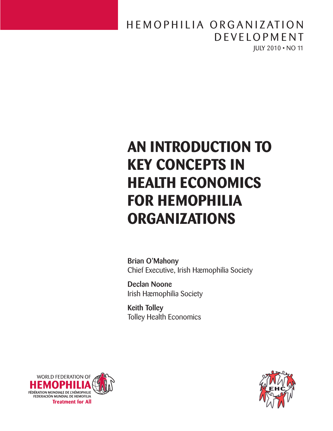## JULY 2010 • NO 11 HEMOPHILIA ORGANIZATION D E V E LOPMENT

# **An Introduction to Key Concepts in Health Economics for Hemophilia Organizations**

Brian O'Mahony Chief Executive, Irish Hæmophilia Society

Declan Noone Irish Hæmophilia Society

Keith Tolley Tolley Health Economics



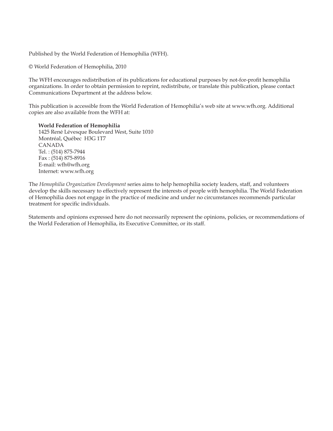Published by the World Federation of Hemophilia (WFH).

© World Federation of Hemophilia, 2010

The WFH encourages redistribution of its publications for educational purposes by not-for-profit hemophilia organizations. In order to obtain permission to reprint, redistribute, or translate this publication, please contact Communications Department at the address below.

This publication is accessible from the World Federation of Hemophilia's web site at www.wfh.org. Additional copies are also available from the WFH at:

**World Federation of Hemophilia** 1425 René Lévesque Boulevard West, Suite 1010 Montréal, Québec H3G 1T7 CANADA Tel. : (514) 875-7944 Fax : (514) 875-8916 E-mail: wfh@wfh.org Internet: www.wfh.org

The *Hemophilia Organization Development* series aims to help hemophilia society leaders, staff, and volunteers develop the skills necessary to effectively represent the interests of people with hemophilia. The World Federation of Hemophilia does not engage in the practice of medicine and under no circumstances recommends particular treatment for specific individuals.

Statements and opinions expressed here do not necessarily represent the opinions, policies, or recommendations of the World Federation of Hemophilia, its Executive Committee, or its staff.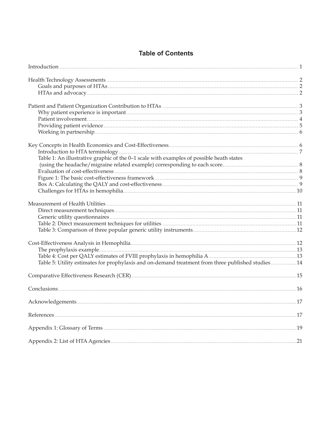| Table 1: An illustrative graphic of the 0-1 scale with examples of possible heath states          |  |
|---------------------------------------------------------------------------------------------------|--|
|                                                                                                   |  |
|                                                                                                   |  |
|                                                                                                   |  |
|                                                                                                   |  |
|                                                                                                   |  |
|                                                                                                   |  |
|                                                                                                   |  |
|                                                                                                   |  |
|                                                                                                   |  |
|                                                                                                   |  |
|                                                                                                   |  |
|                                                                                                   |  |
|                                                                                                   |  |
| Table 5: Utility estimates for prophylaxis and on-demand treatment from three published studies14 |  |
|                                                                                                   |  |
|                                                                                                   |  |
|                                                                                                   |  |
|                                                                                                   |  |
|                                                                                                   |  |
|                                                                                                   |  |

## **Table of Contents**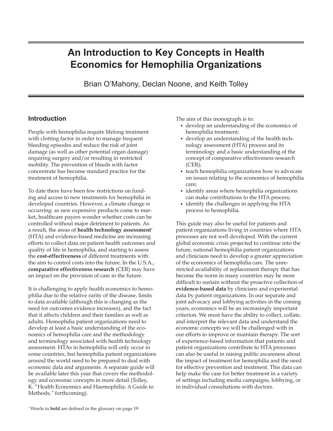# <span id="page-4-0"></span>**An Introduction to Key Concepts in Health Economics for Hemophilia Organizations**

Brian O'Mahony, Declan Noone, and Keith Tolley

## **Introduction**

People with hemophilia require lifelong treatment with clotting factor in order to manage frequent bleeding episodes and reduce the risk of joint damage (as well as other potential organ damage) requiring surgery and/or resulting in restricted mobility. The prevention of bleeds with factor concentrate has become standard practice for the treatment of hemophilia.

To date there have been few restrictions on funding and access to new treatments for hemophilia in developed countries. However, a climate change is occurring: as new expensive products come to market, healthcare payers wonder whether costs can be controlled without major detriment to patients. As a result, the areas of **health technology assessment**\* (HTA) and evidence-based medicine are increasing efforts to collect data on patient health outcomes and quality of life in hemophilia, and starting to assess the **cost-effectiveness** of different treatments with the aim to control costs into the future. In the U.S.A., **comparative effectiveness research** (CER) may have an impact on the provision of care in the future.

It is challenging to apply health economics to hemophilia due to the relative rarity of the disease, limits to data available (although this is changing as the need for outcomes evidence increases), and the fact that it affects children and their families as well as adults. Hemophilia patient organizations need to develop at least a basic understanding of the economics of hemophilia care and the methodology and terminology associated with health technology assessment. HTAs in hemophilia will only occur in some countries, but hemophilia patient organizations around the world need to be prepared to deal with economic data and arguments. A separate guide will be available later this year that covers the methodology and economic concepts in more detail (Tolley, K. "Health Economics and Haemophilia: A Guide to Methods,*"* forthcoming).

The aim of this monograph is to:

- develop an understanding of the economics of hemophilia treatment;
- develop an understanding of the health technology assessment (HTA) process and its terminology and a basic understanding of the concept of comparative effectiveness research  $(CER);$
- teach hemophilia organizations how to advocate on issues relating to the economics of hemophilia care;
- identify areas where hemophilia organizations can make contributions to the HTA process;
- identify the challenges in applying the HTA process to hemophilia.

This guide may also be useful for patients and patient organizations living in countries where HTA processes are not well developed. With the current global economic crisis projected to continue into the future, national hemophilia patient organizations and clinicians need to develop a greater appreciation of the economics of hemophilia care. The unrestricted availability of replacement therapy that has become the norm in many countries may be more difficult to sustain without the proactive collection of **evidence-based data** by clinicians and experiential data by patient organizations. In our separate and joint advocacy and lobbying activities in the coming years, economics will be an increasingly important criterion. We must have the ability to collect, collate, and interpret the relevant data and understand the economic concepts we will be challenged with in our efforts to improve or maintain therapy. The sort of experience-based information that patients and patient organizations contribute to HTA processes can also be useful in raising public awareness about the impact of treatment for hemophilia and the need for effective prevention and treatment. This data can help make the case for better treatment in a variety of settings including media campaigns, lobbying, or in individual consultations with doctors.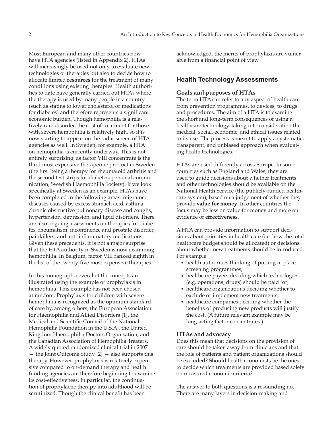<span id="page-5-0"></span>Most European and many other countries now have HTA agencies (listed in Appendix 2). HTAs will increasingly be used not only to evaluate new technologies or therapies but also to decide how to allocate limited **resources** for the treatment of many conditions using existing therapies. Health authorities to date have generally carried out HTAs where the therapy is used by many people in a country (such as statins to lower cholesterol or medications for diabetes) and therefore represents a significant economic burden. Though hemophilia is a relatively rare disorder, the cost of treatment for those with severe hemophilia is relatively high, so it is now starting to appear on the radar screen of HTA agencies as well. In Sweden, for example, a HTA on hemophilia is currently underway. This is not entirely surprising, as factor VIII concentrate is the third most expensive therapeutic product in Sweden (the first being a therapy for rheumatoid arthritis and the second test strips for diabetes; personal communication, Swedish Haemophilia Society). If we look specifically at Sweden as an example, HTAs have been completed in the following areas: migraine, diseases caused by excess stomach acid, asthma, chronic obstructive pulmonary disease and coughs, hypertension, depression, and lipid disorders. There are also ongoing assessments on therapies for diabetes, rheumatism, incontinence and prostate disorder, painkillers, and anti-inflammatory medications. Given these precedents, it is not a major surprise that the HTA authority in Sweden is now examining hemophilia. In Belgium, factor VIII ranked eighth in the list of the twenty-five most expensive therapies.

In this monograph, several of the concepts are illustrated using the example of prophylaxis in hemophilia. This example has not been chosen at random. Prophylaxis for children with severe hemophilia is recognized as the optimum standard of care by, among others, the European Association for Haemophilia and Allied Disorders [1], the Medical and Scientific Council of the National Hemophilia Foundation in the U.S.A., the United Kingdom Haemophilia Doctors Organisation, and the Canadian Association of Hemophilia Treaters. A widely quoted randomized clinical trial in 2007 — the Joint Outcome Study [2] — also supports this therapy. However, prophylaxis is relatively expensive compared to on-demand therapy and health funding agencies are therefore beginning to examine its cost-effectiveness. In particular, the continuation of prophylactic therapy into adulthood will be scrutinized. Though the clinical benefit has been

acknowledged, the merits of prophylaxis are vulnerable from a financial point of view.

## **Health Technology Assessments**

#### **Goals and purposes of HTAs**

The term HTA can refer to any aspect of health care from prevention programmes, to devices, to drugs and procedures. The aim of a HTA is to examine the short and long-term consequences of using a healthcare technology, taking into consideration the medical, social, economic, and ethical issues related to its use. The process is meant to apply a systematic, transparent, and unbiased approach when evaluating health technologies.

HTAs are used differently across Europe. In some countries such as England and Wales, they are used to guide decisions about whether treatments and other technologies should be available on the National Health Service (the publicly-funded healthcare system), based on a judgement of whether they provide **value for money**. In other countries the focus may be less on value for money and more on evidence of **effectiveness**.

A HTA can provide information to support decisions about priorities in health care (i.e. how the total healthcare budget should be allocated) or decisions about whether new treatments should be introduced. For example:

- health authorities thinking of putting in place screening programmes;
- healthcare payers deciding which technologies (e.g. operations, drugs) should be paid for;
- healthcare organizations deciding whether to exclude or implement new treatments;
- healthcare companies deciding whether the benefits of producing new products will justify the cost. (A future relevant example may be long-acting factor concentrates.)

#### **HTAs and advocacy**

Does this mean that decisions on the provision of care should be taken away from clinicians and that the role of patients and patient organizations should be excluded? Should health economists be the ones to decide which treatments are provided based solely on measured economic criteria?

The answer to both questions is a resounding no. There are many layers in decision-making and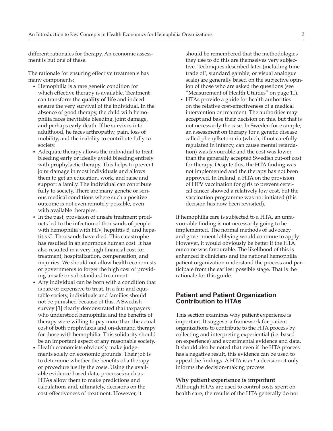<span id="page-6-0"></span>different rationales for therapy. An economic assessment is but one of these.

The rationale for ensuring effective treatments has many components:

- Hemophilia is a rare genetic condition for which effective therapy is available. Treatment can transform the **quality of life** and indeed ensure the very survival of the individual. In the absence of good therapy, the child with hemophilia faces inevitable bleeding, joint damage, and perhaps early death. If he survives into adulthood, he faces arthropathy, pain, loss of mobility, and the inability to contribute fully to society.
- Adequate therapy allows the individual to treat bleeding early or ideally avoid bleeding entirely with prophylactic therapy. This helps to prevent joint damage in most individuals and allows them to get an education, work, and raise and support a family. The individual can contribute fully to society. There are many genetic or serious medical conditions where such a positive outcome is not even remotely possible, even with available therapies.
- In the past, provision of unsafe treatment products led to the infection of thousands of people with hemophilia with HIV, hepatitis B, and hepatitis C. Thousands have died. This catastrophe has resulted in an enormous human cost. It has also resulted in a very high financial cost for treatment, hospitalization, compensation, and inquiries. We should not allow health economists or governments to forget the high cost of providing unsafe or sub-standard treatment.
- Any individual can be born with a condition that is rare or expensive to treat. In a fair and equitable society, individuals and families should not be punished because of this. A Swedish survey [3] clearly demonstrated that taxpayers who understood hemophilia and the benefits of therapy were willing to pay more than the actual cost of both prophylaxis and on-demand therapy for those with hemophilia. This solidarity should be an important aspect of any reasonable society.
- Health economists obviously make judgements solely on economic grounds. Their job is to determine whether the benefits of a therapy or procedure justify the costs. Using the available evidence-based data, processes such as HTAs allow them to make predictions and calculations and, ultimately, decisions on the cost-effectiveness of treatment. However, it

should be remembered that the methodologies they use to do this are themselves very subjective. Techniques described later (including time trade off, standard gamble, or visual analogue scale) are generally based on the subjective opinion of those who are asked the questions (see "Measurement of Health Utilities" on page 11).

• HTAs provide a guide for health authorities on the relative cost-effectiveness of a medical intervention or treatment. The authorities may accept and base their decision on this, but that is not necessarily the case. In Sweden for example, an assessment on therapy for a genetic disease called phenylketonuria (which, if not carefully regulated in infancy, can cause mental retardation) was favourable and the cost was lower than the generally accepted Swedish cut-off cost for therapy. Despite this, the HTA finding was not implemented and the therapy has not been approved. In Ireland, a HTA on the provision of HPV vaccination for girls to prevent cervical cancer showed a relatively low cost, but the vaccination programme was not initiated (this decision has now been revisited).

If hemophilia care is subjected to a HTA, an unfavourable finding is not necessarily going to be implemented. The normal methods of advocacy and government lobbying would continue to apply. However, it would obviously be better if the HTA outcome was favourable. The likelihood of this is enhanced if clinicians and the national hemophilia patient organization understand the process and participate from the earliest possible stage. That is the rationale for this guide.

### **Patient and Patient Organization Contribution to HTAs**

This section examines why patient experience is important. It suggests a framework for patient organizations to contribute to the HTA process by collecting and interpreting experiential (i.e. based on experience) and experimental evidence and data. It should also be noted that even if the HTA process has a negative result, this evidence can be used to appeal the findings. A HTA is *not* a decision; it only informs the decision-making process.

#### **Why patient experience is important**

Although HTAs are used to control costs spent on health care, the results of the HTA generally do not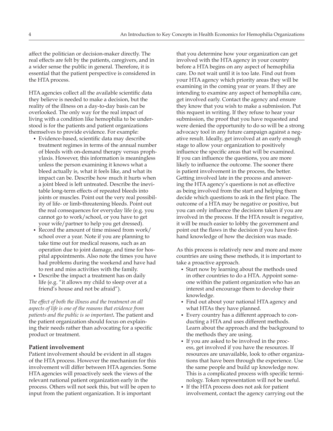<span id="page-7-0"></span>affect the politician or decision-maker directly. The real effects are felt by the patients, caregivers, and in a wider sense the public in general. Therefore, it is essential that the patient perspective is considered in the HTA process.

HTA agencies collect all the available scientific data they believe is needed to make a decision, but the reality of the illness on a day-to-day basis can be overlooked. The only way for the real impact of living with a condition like hemophilia to be understood is for the patients and patient organizations themselves to provide evidence. For example:

- Evidence-based, scientific data may describe treatment regimes in terms of the annual number of bleeds with on-demand therapy versus prophylaxis. However, this information is meaningless unless the person examining it knows what a bleed actually is, what it feels like, and what its impact can be. Describe how much it hurts when a joint bleed is left untreated. Describe the inevitable long-term effects of repeated bleeds into joints or muscles. Point out the very real possibility of life- or limb-threatening bleeds. Point out the real consequences for everyday life (e.g. you cannot go to work/school, or you have to get your wife/partner to help you get dressed).
- Record the amount of time missed from work/ school over a year. Note if you are planning to take time out for medical reasons, such as an operation due to joint damage, and time for hospital appointments. Also note the times you have had problems during the weekend and have had to rest and miss activities with the family.
- Describe the impact a treatment has on daily life (e.g. "it allows my child to sleep over at a friend's house and not be afraid").

*The effect of both the illness and the treatment on all aspects of life is one of the reasons that evidence from patients and the public is so important***.** The patient and the patient organization should focus on explaining their needs rather than advocating for a specific product or treatment.

#### **Patient involvement**

Patient involvement should be evident in all stages of the HTA process. However the mechanism for this involvement will differ between HTA agencies. Some HTA agencies will proactively seek the views of the relevant national patient organization early in the process. Others will not seek this, but will be open to input from the patient organization. It is important

that you determine how your organization can get involved with the HTA agency in your country before a HTA begins on any aspect of hemophilia care. Do not wait until it is too late. Find out from your HTA agency which priority areas they will be examining in the coming year or years. If they are intending to examine any aspect of hemophilia care, get involved early. Contact the agency and ensure they know that you wish to make a submission. Put this request in writing. If they refuse to hear your submission, the proof that you have requested and were denied the opportunity to do so will be a strong advocacy tool in any future campaign against a negative result. Ideally, get involved at an early enough stage to allow your organization to positively influence the specific areas that will be examined. If you can influence the questions, you are more likely to influence the outcome. The sooner there is patient involvement in the process, the better. Getting involved late in the process and answering the HTA agency's questions is not as effective as being involved from the start and helping them decide which questions to ask in the first place. The outcome of a HTA may be negative or positive, but you can only influence the decisions taken if you are involved in the process. If the HTA result is negative, it will be much easier to lobby the government and point out the flaws in the decision if you have firsthand knowledge of how the decision was made.

As this process is relatively new and more and more countries are using these methods, it is important to take a proactive approach.

- Start now by learning about the methods used in other countries to do a HTA. Appoint someone within the patient organization who has an interest and encourage them to develop their knowledge.
- Find out about your national HTA agency and what HTAs they have planned.
- Every country has a different approach to conducting a HTA and uses different methods. Learn about the approach and the background to the methods they are using.
- If you are asked to be involved in the process, get involved if you have the resources. If resources are unavailable, look to other organizations that have been through the experience. Use the same people and build up knowledge now. This is a complicated process with specific terminology. Token representation will not be useful.
- If the HTA process does not ask for patient involvement, contact the agency carrying out the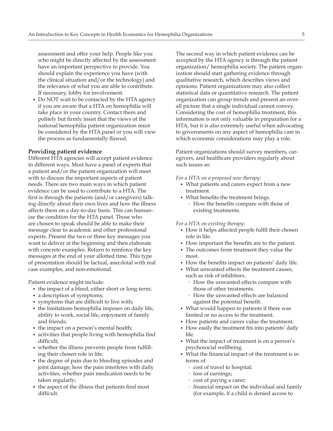<span id="page-8-0"></span>assessment and offer your help. People like you who might be directly affected by the assessment have an important perspective to provide. You should explain the experience you have (with the clinical situation and/or the technology) and the relevance of what you are able to contribute. If necessary, lobby for involvement.

• Do NOT wait to be contacted by the HTA agency if you are aware that a HTA on hemophilia will take place in your country. Contact them and politely but firmly insist that the views of the national hemophilia patient organization must be considered by the HTA panel or you will view the process as fundamentally flawed.

#### **Providing patient evidence**

Different HTA agencies will accept patient evidence in different ways. Most have a panel of experts that a patient and/or the patient organization will meet with to discuss the important aspects of patient needs. There are two main ways in which patient evidence can be used to contribute to a HTA. The first is through the patients (and/or caregivers) talking directly about their own lives and how the illness affects them on a day-to-day basis. This can humanize the condition for the HTA panel. Those who are chosen to speak should be able to make their message clear to academic and other professional experts. Present the two or three key messages you want to deliver at the beginning and then elaborate with concrete examples. Return to reinforce the key messages at the end of your allotted time. This type of presentation should be factual, anecdotal with real case examples, and non-emotional.

Patient evidence might include:

- the impact of a bleed, either short or long-term;
- a description of symptoms;
- symptoms that are difficult to live with;
- the limitations hemophilia imposes on daily life, ability to work, social life, enjoyment of family and friends;
- the impact on a person's mental health;
- activities that people living with hemophilia find difficult;
- whether the illness prevents people from fulfilling their chosen role in life;
- the degree of pain due to bleeding episodes and joint damage; how the pain interferes with daily activities, whether pain medication needs to be taken regularly;
- the aspect of the illness that patients find most difficult.

The second way in which patient evidence can be accepted by the HTA agency is through the patient organization/ hemophilia society. The patient organization should start gathering evidence through qualitative research, which describes views and opinions. Patient organizations may also collect statistical data or quantitative research. The patient organization can group trends and present an overall picture that a single individual cannot convey. Considering the cost of hemophilia treatment, this information is not only valuable in preparation for a HTA, but it is also extremely useful when advocating to governments on any aspect of hemophilia care in which economic considerations may play a role.

Patient organizations should survey members, caregivers, and healthcare providers regularly about such issues as:

*For a HTA on a proposed new therapy:*

- What patients and carers expect from a new treatment.
- What benefits the treatment brings. • How the benefits compare with those of existing treatments.

*For a HTA on existing therapy:*

- How it helps affected people fulfil their chosen role in life.
- How important the benefits are to the patient.
- The outcomes from treatment they value the most.
- How the benefits impact on patients' daily life.
- What unwanted effects the treatment causes, such as risk of inhibitors.
	- **How the unwanted effects compare with** those of other treatments.
	- **How the unwanted effects are balanced** against the potential benefit.
- What would happen to patients if there was limited or no access to the treatment.
- How patients and carers value the treatment.
- How easily the treatment fits into patients' daily life.
- What the impact of treatment is on a person's psychosocial wellbeing.
- What the financial impact of the treatment is in terms of:
	- cost of travel to hospital;
	- loss of earnings;
	- cost of paying a carer;
	- financial impact on the individual and family (for example, if a child is denied access to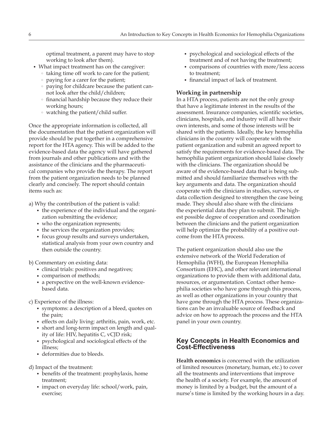<span id="page-9-0"></span>optimal treatment, a parent may have to stop working to look after them).

- What impact treatment has on the caregiver:
	- taking time off work to care for the patient;
	- paying for a carer for the patient;
	- paying for childcare because the patient cannot look after the child/children;
	- financial hardship because they reduce their working hours;
	- watching the patient/child suffer.

Once the appropriate information is collected, all the documentation that the patient organization will provide should be put together in a comprehensive report for the HTA agency. This will be added to the evidence-based data the agency will have gathered from journals and other publications and with the assistance of the clinicians and the pharmaceutical companies who provide the therapy. The report from the patient organization needs to be planned clearly and concisely. The report should contain items such as:

a) Why the contribution of the patient is valid:

- the experience of the individual and the organization submitting the evidence;
- who the organization represents;
- the services the organization provides;
- focus group results and surveys undertaken, statistical analysis from your own country and then outside the country.
- b) Commentary on existing data:
	- clinical trials: positives and negatives;
	- comparison of methods;
	- a perspective on the well-known evidencebased data.
- c) Experience of the illness:
	- symptoms: a description of a bleed, quotes on the pain;
	- effects on daily living: arthritis, pain, work, etc.
	- short and long-term impact on length and quality of life: HIV, hepatitis C, vCJD risk;
	- psychological and sociological effects of the illness;
	- deformities due to bleeds.

d) Impact of the treatment:

- benefits of the treatment: prophylaxis, home treatment;
- impact on everyday life: school/work, pain, exercise;
- psychological and sociological effects of the treatment and of not having the treatment;
- comparisons of countries with more/less access to treatment;
- financial impact of lack of treatment.

## **Working in partnership**

In a HTA process, patients are not the only group that have a legitimate interest in the results of the assessment. Insurance companies, scientific societies, clinicians, hospitals, and industry will all have their own interests, and some of those interests will be shared with the patients. Ideally, the key hemophilia clinicians in the country will cooperate with the patient organization and submit an agreed report to satisfy the requirements for evidence-based data. The hemophilia patient organization should liaise closely with the clinicians. The organization should be aware of the evidence-based data that is being submitted and should familiarize themselves with the key arguments and data. The organization should cooperate with the clinicians in studies, surveys, or data collection designed to strengthen the case being made. They should also share with the clinicians the experiential data they plan to submit. The highest possible degree of cooperation and coordination between the clinicians and the patient organization will help optimize the probability of a positive outcome from the HTA process.

The patient organization should also use the extensive network of the World Federation of Hemophilia (WFH), the European Hemophilia Consortium (EHC), and other relevant international organizations to provide them with additional data, resources, or argumentation. Contact other hemophilia societies who have gone through this process, as well as other organizations in your country that have gone through the HTA process. These organizations can be an invaluable source of feedback and advice on how to approach the process and the HTA panel in your own country.

## **Key Concepts in Health Economics and Cost-Effectiveness**

**Health economics** is concerned with the utilization of limited resources (monetary, human, etc.) to cover all the treatments and interventions that improve the health of a society. For example, the amount of money is limited by a budget, but the amount of a nurse's time is limited by the working hours in a day.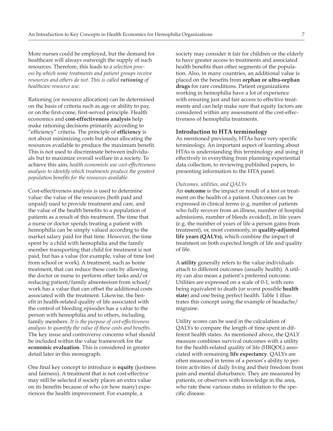<span id="page-10-0"></span>More nurses could be employed, but the demand for healthcare will always outweigh the supply of such resources. Therefore, this leads to *a selection process by which some treatments and patient groups receive resources and others do not. This is called rationing of healthcare resource use.*

Rationing (or resource allocation) can be determined on the basis of criteria such as age or ability to pay, or on the first-come, first-served principle. Health economics and **cost-effectiveness analysis** help make rationing decisions primarily according to "efficiency" criteria. The principle of **efficiency** is not about minimizing costs but about allocating the resources available to produce the maximum benefit. This is not used to discriminate between individuals but to maximize overall welfare in a society. To achieve this aim, *health economists use cost-effectiveness analysis to identify which treatments produce the greatest population benefits for the resources available.* 

Cost-effectiveness analysis is used to determine value: the value of the resources (both paid and unpaid) used to provide treatment and care, and the value of the health benefits to a population of patients as a result of this treatment. The time that a nurse or doctor spends treating a patient with hemophilia can be simply valued according to the market salary paid for that time. However, the time spent by a child with hemophilia and the family member transporting that child for treatment is not paid, but has a value (for example, value of time lost from school or work). A treatment, such as home treatment, that can reduce these costs by allowing the doctor or nurse to perform other tasks and/or reducing patient/family absenteeism from school/ work has a value that can offset the additional costs associated with the treatment. Likewise, the benefit in health-related quality of life associated with the control of bleeding episodes has a value to the person with hemophilia and to others, including family members. *It is the purpose of cost-effectiveness analysis to quantify the value of these costs and benefits.* The key issue and controversy concerns what should be included within the value framework for the **economic evaluation**. This is considered in greater detail later in this monograph.

One final key concept to introduce is **equity** (justness and fairness). A treatment that is not cost-effective may still be selected if society places an extra value on its benefits because of who (or how many) experiences the health improvement. For example, a

society may consider it fair for children or the elderly to have greater access to treatments and associated health benefits than other segments of the population. Also, in many countries, an additional value is placed on the benefits from **orphan or ultra-orphan drugs** for rare conditions. Patient organizations working in hemophilia have a lot of experience with ensuring just and fair access to effective treatments and can help make sure that equity factors are considered within any assessment of the cost-effectiveness of hemophilia treatments.

#### **Introduction to HTA terminology**

As mentioned previously, HTAs have very specific terminology. An important aspect of learning about HTAs is understanding this terminology and using it effectively in everything from planning experiential data collection, to reviewing published papers, to presenting information to the HTA panel.

#### *Outcomes, utilities, and QALYs*

An **outcome** is the impact or result of a test or treatment on the health of a patient. Outcomes can be expressed in clinical terms (e.g. number of patients who fully recover from an illness, number of hospital admissions, number of bleeds avoided), in life years (e.g. the number of years of life a person gains from treatment), or, most commonly, in **quality-adjusted life years (QALYs)**, which combine the impact of treatment on both expected length of life and quality of life.

A **utility** generally refers to the value individuals attach to different outcomes (usually health). A utility can also mean a patient's preferred outcome. Utilities are expressed on a scale of 0-1, with zero being equivalent to death (or worst possible **health state**) and one being perfect health. Table 1 illustrates this concept using the example of headache/ migraine.

Utility scores can be used in the calculation of QALYs to compare the length of time spent in different health states. As mentioned above, the QALY measure combines survival outcomes with a utility for the health-related quality of life (HRQOL) associated with remaining **life expectancy**. QALYs are often measured in terms of a person's ability to perform activities of daily living and their freedom from pain and mental disturbance. They are measured by patients, or observers with knowledge in the area, who rate these various states in relation to the specific disease.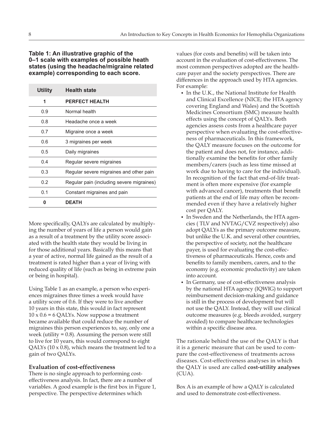## <span id="page-11-0"></span>**Table 1: An illustrative graphic of the 0–1 scale with examples of possible heath states (using the headache/migraine related example) corresponding to each score.**

| <b>Utility</b> | <b>Health state</b>                       |
|----------------|-------------------------------------------|
| 1              | <b>PERFECT HEALTH</b>                     |
| 0.9            | Normal health                             |
| 0.8            | Headache once a week                      |
| 0.7            | Migraine once a week                      |
| 0.6            | 3 migraines per week                      |
| 0.5            | Daily migraines                           |
| 0.4            | Regular severe migraines                  |
| 0.3            | Regular severe migraines and other pain   |
| 0.2            | Regular pain (including severe migraines) |
| 0.1            | Constant migraines and pain               |
| n              | <b>DEATH</b>                              |

More specifically, QALYs are calculated by multiplying the number of years of life a person would gain as a result of a treatment by the utility score associated with the health state they would be living in for those additional years. Basically this means that a year of active, normal life gained as the result of a treatment is rated higher than a year of living with reduced quality of life (such as being in extreme pain or being in hospital).

Using Table 1 as an example, a person who experiences migraines three times a week would have a utility score of 0.6. If they were to live another 10 years in this state, this would in fact represent  $10 \times 0.6 = 6$  QALYs. Now suppose a treatment became available that could reduce the number of migraines this person experiences to, say, only one a week (utility = 0.8). Assuming the person were still to live for 10 years, this would correspond to eight QALYs (10 x 0.8), which means the treatment led to a gain of two QALYs.

#### **Evaluation of cost-effectiveness**

There is no single approach to performing costeffectiveness analysis. In fact, there are a number of variables. A good example is the first box in Figure 1, perspective. The perspective determines which

values (for costs and benefits) will be taken into account in the evaluation of cost-effectiveness. The most common perspectives adopted are the healthcare payer and the society perspectives. There are differences in the approach used by HTA agencies. For example:

- In the U.K., the National Institute for Health and Clinical Excellence (NICE; the HTA agency covering England and Wales) and the Scottish Medicines Consortium (SMC) measure health effects using the concept of QALYs. Both agencies assess costs from a healthcare payer perspective when evaluating the cost-effectiveness of pharmaceuticals. In this framework, the QALY measure focuses on the outcome for the patient and does not, for instance, additionally examine the benefits for other family members/carers (such as less time missed at work due to having to care for the individual). In recognition of the fact that end-of-life treatment is often more expensive (for example with advanced cancer), treatments that benefit patients at the end of life may often be recommended even if they have a relatively higher cost per QALY.
- In Sweden and the Netherlands, the HTA agencies ( TLV and NVTAG/CVZ respectively) also adopt QALYs as the primary outcome measure, but unlike the U.K. and several other countries, the perspective of society, not the healthcare payer, is used for evaluating the cost-effectiveness of pharmaceuticals. Hence, costs and benefits to family members, carers, and to the economy (e.g. economic productivity) are taken into account.
- In Germany, use of cost-effectiveness analysis by the national HTA agency (IQWIG) to support reimbursement decision-making and guidance is still in the process of development but will not use the QALY. Instead, they will use clinical outcome measures (e.g. bleeds avoided, surgery avoided) to compare healthcare technologies within a specific disease area.

The rationale behind the use of the QALY is that it is a generic measure that can be used to compare the cost-effectiveness of treatments across diseases. Cost-effectiveness analyses in which the QALY is used are called **cost-utility analyses** (CUA).

Box A is an example of how a QALY is calculated and used to demonstrate cost-effectiveness.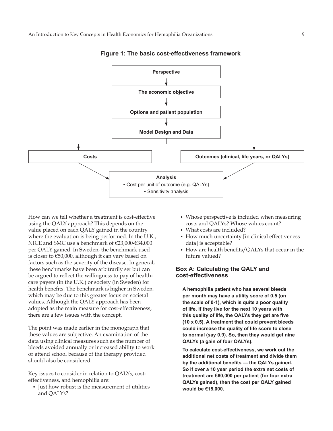<span id="page-12-0"></span>

**Figure 1: The basic cost-effectiveness framework**

How can we tell whether a treatment is cost-effective using the QALY approach? This depends on the value placed on each QALY gained in the country where the evaluation is being performed. In the U.K., NICE and SMC use a benchmark of €23,000-€34,000 per QALY gained. In Sweden, the benchmark used is closer to €50,000, although it can vary based on factors such as the severity of the disease. In general, these benchmarks have been arbitrarily set but can be argued to reflect the willingness to pay of healthcare payers (in the U.K.) or society (in Sweden) for health benefits. The benchmark is higher in Sweden, which may be due to this greater focus on societal values. Although the QALY approach has been adopted as the main measure for cost-effectiveness, there are a few issues with the concept.

The point was made earlier in the monograph that these values are subjective. An examination of the data using clinical measures such as the number of bleeds avoided annually or increased ability to work or attend school because of the therapy provided should also be considered.

Key issues to consider in relation to QALYs, costeffectiveness, and hemophilia are:

• Just how robust is the measurement of utilities and QALYs?

- Whose perspective is included when measuring costs and QALYs? Whose values count?
- What costs are included?
- How much uncertainty [in clinical effectiveness data] is acceptable?
- How are health benefits/QALYs that occur in the future valued?

### **Box A: Calculating the QALY and cost-effectiveness**

**A hemophilia patient who has several bleeds per month may have a utility score of 0.5 (on the scale of 0-1), which is quite a poor quality of life. If they live for the next 10 years with this quality of life, the QALYs they get are five (10 x 0.5). A treatment that could prevent bleeds could increase the quality of life score to close to normal (say 0.9). So, then they would get nine QALYs (a gain of four QALYs).**

**To calculate cost-effectiveness, we work out the additional net costs of treatment and divide them by the additional benefits — the QALYs gained. So if over a 10 year period the extra net costs of treatment are €60,000 per patient (for four extra QALYs gained), then the cost per QALY gained would be €15,000.**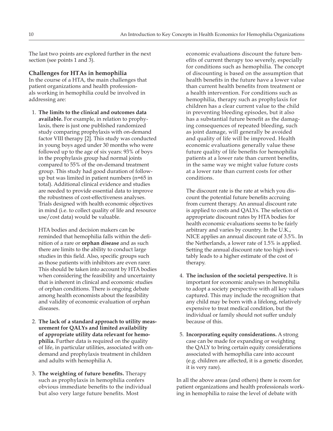<span id="page-13-0"></span>The last two points are explored further in the next section (see points 1 and 3).

#### **Challenges for HTAs in hemophilia**

In the course of a HTA, the main challenges that patient organizations and health professionals working in hemophilia could be involved in addressing are:

1. **The limits to the clinical and outcomes data available.** For example, in relation to prophylaxis, there is just one published randomized study comparing prophylaxis with on-demand factor VIII therapy [2]. This study was conducted in young boys aged under 30 months who were followed up to the age of six years: 93% of boys in the prophylaxis group had normal joints compared to 55% of the on-demand treatment group. This study had good duration of followup but was limited in patient numbers (n=65 in total). Additional clinical evidence and studies are needed to provide essential data to improve the robustness of cost-effectiveness analyses. Trials designed with health economic objectives in mind (i.e. to collect quality of life and resource use/cost data) would be valuable.

HTA bodies and decision makers can be reminded that hemophilia falls within the definition of a rare or **orphan disease** and as such there are limits to the ability to conduct large studies in this field. Also, specific groups such as those patients with inhibitors are even rarer. This should be taken into account by HTA bodies when considering the feasibility and uncertainty that is inherent in clinical and economic studies of orphan conditions. There is ongoing debate among health economists about the feasibility and validity of economic evaluation of orphan diseases.

- 2. **The lack of a standard approach to utility measurement for QALYs and limited availability of appropriate utility data relevant for hemophilia.** Further data is required on the quality of life, in particular utilities, associated with ondemand and prophylaxis treatment in children and adults with hemophilia A.
- 3. **The weighting of future benefits.** Therapy such as prophylaxis in hemophilia confers obvious immediate benefits to the individual but also very large future benefits. Most

economic evaluations discount the future benefits of current therapy too severely, especially for conditions such as hemophilia. The concept of discounting is based on the assumption that health benefits in the future have a lower value than current health benefits from treatment or a health intervention. For conditions such as hemophilia, therapy such as prophylaxis for children has a clear current value to the child in preventing bleeding episodes, but it also has a substantial future benefit as the damaging consequences of repeated bleeding, such as joint damage, will generally be avoided and quality of life will be improved. Health economic evaluations generally value these future quality of life benefits for hemophilia patients at a lower rate than current benefits, in the same way we might value future costs at a lower rate than current costs for other conditions.

The discount rate is the rate at which you discount the potential future benefits accruing from current therapy. An annual discount rate is applied to costs and QALYs. The selection of appropriate discount rates by HTA bodies for health economic evaluations seems to be fairly arbitrary and varies by country. In the U.K., NICE applies an annual discount rate of 3.5%. In the Netherlands, a lower rate of 1.5% is applied. Setting the annual discount rate too high inevitably leads to a higher estimate of the cost of therapy.

- 4. **The inclusion of the societal perspective.** It is important for economic analyses in hemophilia to adopt a society perspective with all key values captured. This may include the recognition that any child may be born with a lifelong, relatively expensive to treat medical condition, but the individual or family should not suffer unduly because of this.
- 5. **Incorporating equity considerations.** A strong case can be made for expanding or weighting the QALY to bring certain equity considerations associated with hemophilia care into account (e.g. children are affected, it is a genetic disorder, it is very rare).

In all the above areas (and others) there is room for patient organizations and health professionals working in hemophilia to raise the level of debate with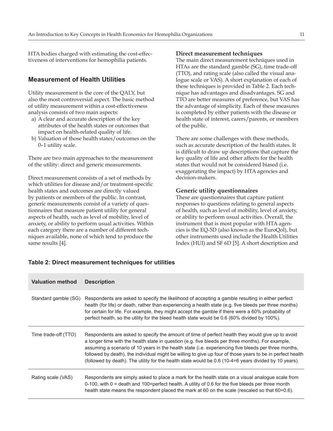<span id="page-14-0"></span>HTA bodies charged with estimating the cost-effectiveness of interventions for hemophilia patients.

## **Measurement of Health Utilities**

Utility measurement is the core of the QALY, but also the most controversial aspect. The basic method of utility measurement within a cost-effectiveness analysis consists of two main aspects:

- a) A clear and accurate description of the key attributes of the health states or outcomes that impact on health-related quality of life.
- b) Valuation of those health states/outcomes on the 0–1 utility scale.

There are two main approaches to the measurement of the utility: direct and generic measurements.

Direct measurement consists of a set of methods by which utilities for disease and/or treatment-specific health states and outcomes are directly valued by patients or members of the public. In contrast, generic measurements consist of a variety of questionnaires that measure patient utility for general aspects of health, such as level of mobility, level of anxiety, or ability to perform usual activities. Within each category there are a number of different techniques available, none of which tend to produce the same results [4].

#### **Direct measurement techniques**

The main direct measurement techniques used in HTAs are the standard gamble (SG), time trade-off (TTO), and rating scale (also called the visual analogue scale or VAS). A short explanation of each of these techniques is provided in Table 2. Each technique has advantages and disadvantages. SG and TTO are better measures of preference, but VAS has the advantage of simplicity. Each of these measures is completed by either patients with the disease or health state of interest, carers/parents, or members of the public.

There are some challenges with these methods, such as accurate description of the health states. It is difficult to draw up descriptions that capture the key quality of life and other affects for the health states that would not be considered biased (i.e. exaggerating the impact) by HTA agencies and decision-makers.

#### **Generic utility questionnaires**

These are questionnaires that capture patient responses to questions relating to general aspects of health, such as level of mobility, level of anxiety, or ability to perform usual activities. Overall, the instrument that is most popular with HTA agencies is the EQ-5D (also known as the EuroQol), but other instruments used include the Health Utilities Index (HUI) and SF 6D [5]. A short description and

| <b>Valuation method</b> | <b>Description</b>                                                                                                                                                                                                                                                                                                                                                                                                                                                                                                                     |
|-------------------------|----------------------------------------------------------------------------------------------------------------------------------------------------------------------------------------------------------------------------------------------------------------------------------------------------------------------------------------------------------------------------------------------------------------------------------------------------------------------------------------------------------------------------------------|
| Standard gamble (SG)    | Respondents are asked to specify the likelihood of accepting a gamble resulting in either perfect<br>health (for life) or death, rather than experiencing a health state (e.g. five bleeds per three months)<br>for certain for life. For example, they might accept the gamble if there were a 60% probability of<br>perfect health, so the utility for the bleed health state would be 0.6 (60% divided by 100%).                                                                                                                    |
| Time trade-off (TTO)    | Respondents are asked to specify the amount of time of perfect health they would give up to avoid<br>a longer time with the health state in question (e.g. five bleeds per three months). For example,<br>assuming a scenario of 10 years in the health state (i.e. experiencing five bleeds per three months,<br>followed by death), the individual might be willing to give up four of those years to be in perfect health<br>(followed by death). The utility for the health state would be 0.6 (10-4=6 years divided by 10 years). |
| Rating scale (VAS)      | Respondents are simply asked to place a mark for the health state on a visual analogue scale from<br>0-100, with $0 =$ death and 100=perfect health. A utility of 0.6 for the five bleeds per three month<br>health state means the respondent placed the mark at 60 on the scale (rescaled so that 60=0.6).                                                                                                                                                                                                                           |

#### **Table 2: Direct measurement techniques for utilities**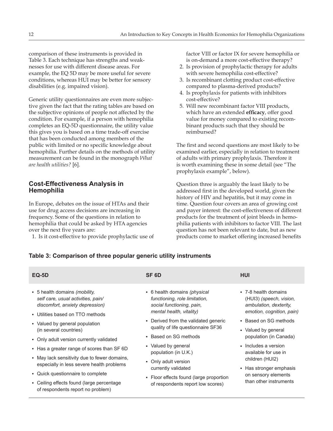<span id="page-15-0"></span>comparison of these instruments is provided in Table 3. Each technique has strengths and weaknesses for use with different disease areas. For example, the EQ 5D may be more useful for severe conditions, whereas HUI may be better for sensory disabilities (e.g. impaired vision).

Generic utility questionnaires are even more subjective given the fact that the rating tables are based on the subjective opinions of people not affected by the condition. For example, if a person with hemophilia completes an EQ-5D questionnaire, the utility value this gives you is based on a time trade-off exercise that has been conducted among members of the public with limited or no specific knowledge about hemophilia. Further details on the methods of utility measurement can be found in the monograph *What are health utilities?* [6].

## **Cost-Effectiveness Analysis in Hemophilia**

In Europe, debates on the issue of HTAs and their use for drug access decisions are increasing in frequency. Some of the questions in relation to hemophilia that could be asked by HTA agencies over the next five years are:

1. Is it cost-effective to provide prophylactic use of

factor VIII or factor IX for severe hemophilia or is on-demand a more cost-effective therapy?

- 2. Is provision of prophylactic therapy for adults with severe hemophilia cost-effective?
- 3. Is recombinant clotting product cost-effective compared to plasma-derived products?
- 4. Is prophylaxis for patients with inhibitors cost-effective?
- 5. Will new recombinant factor VIII products, which have an extended **efficacy**, offer good value for money compared to existing recombinant products such that they should be reimbursed?

The first and second questions are most likely to be examined earlier, especially in relation to treatment of adults with primary prophylaxis. Therefore it is worth examining these in some detail (see "The prophylaxis example", below).

Question three is arguably the least likely to be addressed first in the developed world, given the history of HIV and hepatitis, but it may come in time. Question four covers an area of growing cost and payer interest: the cost-effectiveness of different products for the treatment of joint bleeds in hemophilia patients with inhibitors to factor VIII. The last question has not been relevant to date, but as new products come to market offering increased benefits

#### **Table 3: Comparison of three popular generic utility instruments**

| <b>EQ-5D</b>                                                                                                                                                     | SF <sub>6D</sub>                                                                                                            | HUI                                                                                                    |
|------------------------------------------------------------------------------------------------------------------------------------------------------------------|-----------------------------------------------------------------------------------------------------------------------------|--------------------------------------------------------------------------------------------------------|
| • 5 health domains ( <i>mobility</i> ,<br>self care, usual activities, pain/<br>discomfort, anxiety depression)<br>• Utilities based on TTO methods              | • 6 health domains (physical<br>functioning, role limitation,<br>social functioning, pain,<br>mental health, vitality)      | • 7-8 health domains<br>(HUI3) (speech, vision,<br>ambulation, dexterity,<br>emotion, cognition, pain) |
| • Valued by general population<br>(in several countries)<br>• Only adult version currently validated                                                             | • Derived from the validated generic<br>quality of life questionnaire SF36<br>• Based on SG methods                         | • Based on SG methods<br>• Valued by general<br>population (in Canada)                                 |
| • Has a greater range of scores than SF 6D<br>• May lack sensitivity due to fewer domains,                                                                       | • Valued by general<br>population (in U.K.)                                                                                 | • Includes a version<br>available for use in<br>children (HUI2)                                        |
| especially in less severe health problems<br>• Quick questionnaire to complete<br>• Ceiling effects found (large percentage<br>of respondents report no problem) | • Only adult version<br>currently validated<br>• Floor effects found (large proportion<br>of respondents report low scores) | • Has stronger emphasis<br>on sensory elements<br>than other instruments                               |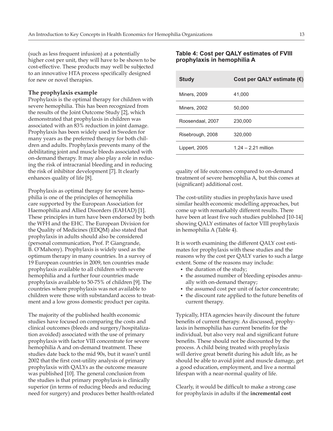<span id="page-16-0"></span>(such as less frequent infusion) at a potentially higher cost per unit, they will have to be shown to be cost-effective. These products may well be subjected to an innovative HTA process specifically designed for new or novel therapies.

#### **The prophylaxis example**

Prophylaxis is the optimal therapy for children with severe hemophilia. This has been recognized from the results of the Joint Outcome Study [2], which demonstrated that prophylaxis in children was associated with an 83% reduction in joint damage. Prophylaxis has been widely used in Sweden for many years as the preferred therapy for both children and adults. Prophylaxis prevents many of the debilitating joint and muscle bleeds associated with on-demand therapy. It may also play a role in reducing the risk of intracranial bleeding and in reducing the risk of inhibitor development [7]. It clearly enhances quality of life [8].

Prophylaxis as optimal therapy for severe hemophilia is one of the principles of hemophilia care supported by the European Association for Haemophilia and Allied Disorders (EAHAD) [1]. These principles in turn have been endorsed by both the WFH and the EHC. The European Division for the Quality of Medicines (EDQM) also stated that prophylaxis in adults should also be considered (personal communication, Prof. P. Giangrande, B. O'Mahony). Prophylaxis is widely used as the optimum therapy in many countries. In a survey of 19 European countries in 2009, ten countries made prophylaxis available to all children with severe hemophilia and a further four countries made prophylaxis available to 50-75% of children [9]. The countries where prophylaxis was not available to children were those with substandard access to treatment and a low gross domestic product per capita.

The majority of the published health economic studies have focused on comparing the costs and clinical outcomes (bleeds and surgery/hospitalization avoided) associated with the use of primary prophylaxis with factor VIII concentrate for severe hemophilia A and on-demand treatment. These studies date back to the mid 90s, but it wasn't until 2002 that the first cost-utility analysis of primary prophylaxis with QALYs as the outcome measure was published [10]. The general conclusion from the studies is that primary prophylaxis is clinically superior (in terms of reducing bleeds and reducing need for surgery) and produces better health-related

### **Table 4: Cost per QALY estimates of FVIII prophylaxis in hemophilia A**

| <b>Study</b>        | Cost per QALY estimate $(E)$ |
|---------------------|------------------------------|
| <b>Miners, 2009</b> | 41,000                       |
| <b>Miners, 2002</b> | 50,000                       |
| Roosendaal, 2007    | 230,000                      |
| Risebrough, 2008    | 320,000                      |
| Lippert, 2005       | $1.24 - 2.21$ million        |
|                     |                              |

quality of life outcomes compared to on-demand treatment of severe hemophilia A, but this comes at (significant) additional cost.

The cost-utility studies in prophylaxis have used similar health economic modelling approaches, but come up with remarkably different results. There have been at least five such studies published [10-14] showing QALY estimates of factor VIII prophylaxis in hemophilia A (Table 4).

It is worth examining the different QALY cost estimates for prophylaxis with these studies and the reasons why the cost per QALY varies to such a large extent. Some of the reasons may include:

- the duration of the study;
- the assumed number of bleeding episodes annually with on-demand therapy;
- the assumed cost per unit of factor concentrate;
- the discount rate applied to the future benefits of current therapy.

Typically, HTA agencies heavily discount the future benefits of current therapy. As discussed, prophylaxis in hemophilia has current benefits for the individual, but also very real and significant future benefits. These should not be discounted by the process. A child being treated with prophylaxis will derive great benefit during his adult life, as he should be able to avoid joint and muscle damage, get a good education, employment, and live a normal lifespan with a near-normal quality of life.

Clearly, it would be difficult to make a strong case for prophylaxis in adults if the **incremental cost**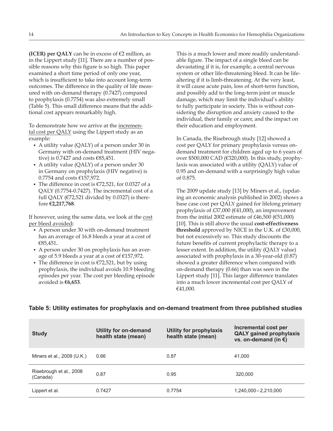<span id="page-17-0"></span>**(ICER) per QALY** can be in excess of  $\epsilon$ 2 million, as in the Lippert study [11]. There are a number of possible reasons why this figure is so high. This paper examined a short time period of only one year, which is insufficient to take into account long-term outcomes. The difference in the quality of life measured with on-demand therapy (0.7427) compared to prophylaxis (0.7754) was also extremely small (Table 5). This small difference means that the additional cost appears remarkably high.

To demonstrate how we arrive at the incremental cost per QALY using the Lippert study as an example:

- A utility value (QALY) of a person under 30 in Germany with on-demand treatment (HIV negative) is 0.7427 and costs €85,451.
- A utility value (QALY) of a person under 30 in Germany on prophylaxis (HIV negative) is 0.7754 and costs €157,972.
- The difference in cost is  $\epsilon$ 72,521, for 0.0327 of a QALY (0.7754-0.7427). The incremental cost of a full QALY ( $E$ 72,521 divided by 0.0327) is therefore **€2,217,768**.

If however, using the same data, we look at the cost per bleed avoided**:**

- A person under 30 with on-demand treatment has an average of 16.8 bleeds a year at a cost of €85,451**.**
- A person under 30 on prophylaxis has an average of 5.9 bleeds a year at a cost of €157,972.
- The difference in cost is  $\epsilon$ 72,521, but by using prophylaxis, the individual avoids 10.9 bleeding episodes per year. The cost per bleeding episode avoided is **€6,653**.

This is a much lower and more readily understandable figure. The impact of a single bleed can be devastating if it is, for example, a central nervous system or other life-threatening bleed. It can be lifealtering if it is limb-threatening. At the very least, it will cause acute pain, loss of short-term function, and possibly add to the long-term joint or muscle damage, which may limit the individual's ability to fully participate in society. This is without considering the disruption and anxiety caused to the individual, their family or carer, and the impact on their education and employment.

In Canada, the Risebrough study [12] showed a cost per QALY for primary prophylaxis versus ondemand treatment for children aged up to 6 years of over \$500,000 CAD (€320,000). In this study, prophylaxis was associated with a utility (QALY) value of 0.95 and on-demand with a surprisingly high value of 0.875.

The 2009 update study [13] by Miners et al., (updating an economic analysis published in 2002) shows a base case cost per QALY gained for lifelong primary prophylaxis of £37,000 (€41,000), an improvement from the initial 2002 estimate of £46,500 ( $€51,000$ ) [10]. This is still above the usual **cost-effectiveness threshold** approved by NICE in the U.K. of £30,000, but not excessively so. This study discounts the future benefits of current prophylactic therapy to a lesser extent. In addition, the utility (QALY value) associated with prophylaxis in a 30-year-old (0.87) showed a greater difference when compared with on-demand therapy (0.66) than was seen in the Lippert study [11]. This larger difference translates into a much lower incremental cost per QALY of €41,000.

| <b>Study</b>                        | <b>Utility for on-demand</b><br>health state (mean) | <b>Utility for prophylaxis</b><br>health state (mean) | Incremental cost per<br><b>QALY gained prophylaxis</b><br>vs. on-demand (in $\epsilon$ ) |
|-------------------------------------|-----------------------------------------------------|-------------------------------------------------------|------------------------------------------------------------------------------------------|
| Miners et al., 2009 (U.K.)          | 0.66                                                | 0.87                                                  | 41.000                                                                                   |
| Risebrough et al., 2008<br>(Canada) | 0.87                                                | 0.95                                                  | 320,000                                                                                  |
| Lippert et al.                      | 0.7427                                              | 0.7754                                                | 1,240,000 - 2,210,000                                                                    |

## **Table 5: Utility estimates for prophylaxis and on-demand treatment from three published studies**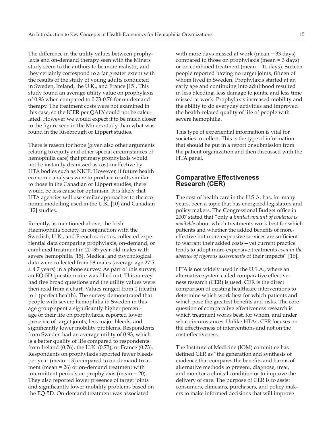<span id="page-18-0"></span>The difference in the utility values between prophylaxis and on-demand therapy seen with the Miners study seem to the authors to be more realistic, and they certainly correspond to a far greater extent with the results of the study of young adults conducted in Sweden, Ireland, the U.K., and France [15]. This study found an average utility value on prophylaxis of 0.93 when compared to 0.73-0.76 for on-demand therapy. The treatment costs were not examined in this case, so the ICER per QALY could not be calculated. However we would expect it to be much closer to the figure seen in the Miners study than what was found in the Risebrough or Lippert studies.

There is reason for hope (given also other arguments relating to equity and other special circumstances of hemophilia care) that primary prophylaxis would not be instantly dismissed as cost-ineffective by HTA bodies such as NICE. However, if future health economic analyses were to produce results similar to those in the Canadian or Lippert studies, there would be less cause for optimism. It is likely that HTA agencies will use similar approaches to the economic modelling used in the U.K. [10] and Canadian [12] studies.

Recently, as mentioned above, the Irish Haemophilia Society, in conjunction with the Swedish, U.K., and French societies, collected experiential data comparing prophylaxis, on-demand, or combined treatment in 20–35 year-old males with severe hemophilia [15]. Medical and psychological data were collected from 58 males (average age 27.5 ± 4.7 years) in a phone survey. As part of this survey, an EQ-5D questionnaire was filled out. This survey had five broad questions and the utility values were then read from a chart. Values ranged from 0 (death) to 1 (perfect health). The survey demonstrated that people with severe hemophilia in Sweden in this age group spent a significantly higher percentage of their life on prophylaxis, reported lower presence of target joints, less major bleeds, and significantly lower mobility problems. Respondents from Sweden had an average utility of 0.93, which is a better quality of life compared to respondents from Ireland (0.76), the U.K. (0.73), or France (0.73). Respondents on prophylaxis reported fewer bleeds per year (mean = 3) compared to on-demand treatment (mean = 26) or on-demand treatment with intermittent periods on prophylaxis (mean = 20). They also reported lower presence of target joints and significantly lower mobility problems based on the EQ-5D. On-demand treatment was associated

with more days missed at work (mean = 33 days) compared to those on prophylaxis (mean = 3 days) or on combined treatment (mean = 11 days). Sixteen people reported having no target joints, fifteen of whom lived in Sweden. Prophylaxis started at an early age and continuing into adulthood resulted in less bleeding, less damage to joints, and less time missed at work. Prophylaxis increased mobility and the ability to do everyday activities and improved the health-related quality of life of people with severe hemophilia.

This type of experiential information is vital for societies to collect. This is the type of information that should be put in a report or submission from the patient organization and then discussed with the HTA panel.

## **Comparative Effectiveness Research (CER)**

The cost of health care in the U.S.A. has, for many years, been a topic that has energized legislators and policy makers. The Congressional Budget office in 2007 stated that "only a *limited amount of evidence is available* about which treatments work best for which patients and whether the added benefits of moreeffective but more-expensive services are sufficient to warrant their added costs—yet current practice tends to adopt more-expensive treatments *even in the absence of rigorous assessments* of their impacts" [16].

HTA is not widely used in the U.S.A., where an alternative system called comparative effectiveness research (CER) is used. CER is the direct comparison of existing healthcare interventions to determine which work best for which patients and which pose the greatest benefits and risks. The core question of comparative effectiveness research is which treatment works best, for whom, and under what circumstances. Unlike HTAs, CER focuses on the effectiveness of interventions and not on the cost-effectiveness.

The Institute of Medicine (IOM) committee has defined CER as "the generation and synthesis of evidence that compares the benefits and harms of alternative methods to prevent, diagnose, treat, and monitor a clinical condition or to improve the delivery of care. The purpose of CER is to assist consumers, clinicians, purchasers, and policy makers to make informed decisions that will improve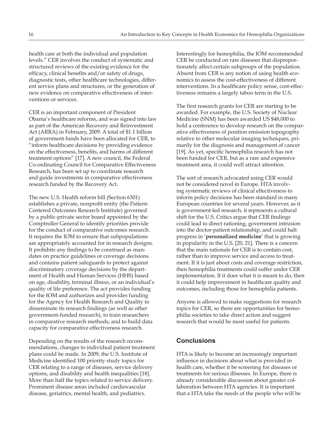<span id="page-19-0"></span>health care at both the individual and population levels." CER involves the conduct of systematic and structured reviews of the existing evidence for the efficacy, clinical benefits and/or safety of drugs, diagnostic tests, other healthcare technologies, different service plans and structures, or the generation of new evidence on comparative effectiveness of interventions or services.

CER is an important component of President Obama's healthcare reforms, and was signed into law as part of the American Recovery and Reinvestment Act (ARRA) in February, 2009. A total of \$1.1 billion of government funds have been allocated for CER, to "inform healthcare decisions by providing evidence on the effectiveness, benefits, and harms of different treatment options" [17]. A new council, the Federal Co-ordinating Council for Comparative Effectiveness Research, has been set up to coordinate research and guide investments in comparative effectiveness research funded by the Recovery Act.

The new U.S. Health reform bill (Section 6301) establishes a private, nonprofit entity (the Patient-Centered Outcomes Research Institute) governed by a public-private sector board appointed by the Comptroller General to identify priorities provide for the conduct of comparative outcomes research. It requires the IOM to ensure that subpopulations are appropriately accounted for in research designs. It prohibits any findings to be construed as mandates on practice guidelines or coverage decisions and contains patient safeguards to protect against discriminatory coverage decisions by the department of Health and Human Services (HHS) based on age, disability, terminal illness, or an individual's quality of life preference. The act provides funding for the IOM and authorizes and provides funding for the Agency for Health Research and Quality to disseminate its research findings (as well as other government-funded research), to train researchers in comparative research methods, and to build data capacity for comparative effectiveness research.

Depending on the results of the research recommendations, changes to individual patient treatment plans could be made. In 2009, the U.S. Institute of Medicine identified 100 priority study topics for CER relating to a range of diseases, service delivery options, and disability and health inequalities [18]. More than half the topics related to service delivery. Prominent disease areas included cardiovascular disease, geriatrics, mental health, and pediatrics.

Interestingly for hemophilia, the IOM recommended CER be conducted on rare diseases that disproportionately affect certain subgroups of the population. Absent from CER is any notion of using health economics to assess the cost-effectiveness of different interventions. In a healthcare policy sense, cost-effectiveness remains a largely taboo term in the U.S.

The first research grants for CER are starting to be awarded. For example, the U.S. Society of Nuclear Medicine (SNM) has been awarded US \$48,000 to hold a conference to develop research on the comparative effectiveness of position emission topography relative to other molecular imaging techniques, primarily for the diagnosis and management of cancer [19]. As yet, specific hemophilia research has not been funded for CER, but as a rare and expensive treatment area, it could well attract attention.

The sort of research advocated using CER would not be considered novel in Europe. HTA involving systematic reviews of clinical effectiveness to inform policy decisions has been standard in many European countries for several years. However, as it is government-led research, it represents a cultural shift for the U.S. Critics argue that CER findings could lead to direct rationing, government intrusion into the doctor-patient relationship, and could halt progress in '**personalized medicine**' that is growing in popularity in the U.S. [20, 21]. There is a concern that the main rationale for CER is to contain cost, rather than to improve service and access to treatment. If it is just about costs and coverage restriction, then hemophilia treatments could suffer under CER implementation. If it does what it is meant to do, then it could help improvement in healthcare quality and outcomes, including those for hemophilia patients.

Anyone is allowed to make suggestions for research topics for CER, so there are opportunities for hemophilia societies to take direct action and suggest research that would be most useful for patients.

## **Conclusions**

HTA is likely to become an increasingly important influence in decisions about what is provided in health care, whether it be screening for diseases or treatments for serious illnesses. In Europe, there is already considerable discussion about greater collaboration between HTA agencies. It is important that a HTA take the needs of the people who will be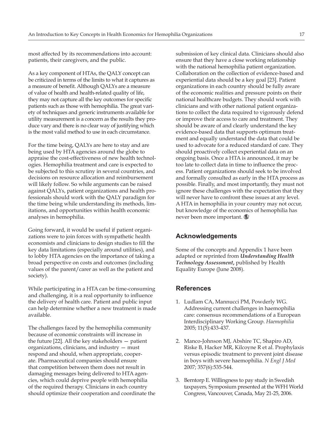<span id="page-20-0"></span>most affected by its recommendations into account: patients, their caregivers, and the public.

As a key component of HTAs, the QALY concept can be criticized in terms of the limits to what it captures as a measure of benefit. Although QALYs are a measure of value of health and health-related quality of life, they may not capture all the key outcomes for specific patients such as those with hemophilia. The great variety of techniques and generic instruments available for utility measurement is a concern as the results they produce vary and there is no clear way of justifying which is the most valid method to use in each circumstance.

For the time being, QALYs are here to stay and are being used by HTA agencies around the globe to appraise the cost-effectiveness of new health technologies. Hemophilia treatment and care is expected to be subjected to this scrutiny in several countries, and decisions on resource allocation and reimbursement will likely follow. So while arguments can be raised against QALYs, patient organizations and health professionals should work with the QALY paradigm for the time being while understanding its methods, limitations, and opportunities within health economic analyses in hemophilia.

Going forward, it would be useful if patient organizations were to join forces with sympathetic health economists and clinicians to design studies to fill the key data limitations (especially around utilities), and to lobby HTA agencies on the importance of taking a broad perspective on costs and outcomes (including values of the parent/carer as well as the patient and society).

While participating in a HTA can be time-consuming and challenging, it is a real opportunity to influence the delivery of health care. Patient and public input can help determine whether a new treatment is made available.

The challenges faced by the hemophilia community because of economic constraints will increase in the future [22]. All the key stakeholders — patient organizations, clinicians, and industry — must respond and should, when appropriate, cooperate. Pharmaceutical companies should ensure that competition between them does not result in damaging messages being delivered to HTA agencies, which could deprive people with hemophilia of the required therapy. Clinicians in each country should optimize their cooperation and coordinate the

submission of key clinical data. Clinicians should also ensure that they have a close working relationship with the national hemophilia patient organization. Collaboration on the collection of evidence-based and experiential data should be a key goal [23]. Patient organizations in each country should be fully aware of the economic realities and pressure points on their national healthcare budgets. They should work with clinicians and with other national patient organizations to collect the data required to vigorously defend or improve their access to care and treatment. They should be aware of and clearly understand the key evidence-based data that supports optimum treatment and equally understand the data that could be used to advocate for a reduced standard of care. They should proactively collect experiential data on an ongoing basis. Once a HTA is announced, it may be too late to collect data in time to influence the process. Patient organizations should seek to be involved and formally consulted as early in the HTA process as possible. Finally, and most importantly, they must not ignore these challenges with the expectation that they will never have to confront these issues at any level. A HTA in hemophilia in your country may not occur, but knowledge of the economics of hemophilia has never been more important.

## **Acknowledgements**

Some of the concepts and Appendix 1 have been adapted or reprinted from *Understanding Health Technology Assessment***,** published by Health Equality Europe (June 2008).

## **References**

- 1. Ludlam CA, Mannucci PM, Powderly WG. Addressing current challenges in haemophilia care: consensus recommendations of a European Interdisciplinary Working Group. *Haemophilia* 2005; 11(5):433-437.
- 2. Manco-Johnson MJ, Abshire TC, Shapiro AD, Riske B, Hacker MR, Kilcoyne R et al. Prophylaxis versus episodic treatment to prevent joint disease in boys with severe haemophilia. *N Engl J Med* 2007; 357(6):535-544.
- 3. Berntorp E. Willingness to pay study in Swedish taxpayers*,* Symposium presented at the WFH World Congress, Vancouver, Canada, May 21-25, 2006.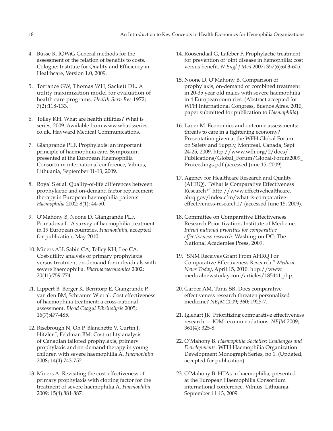- 4. Busse R. IQWiG General methods for the assessment of the relation of benefits to costs. Cologne: Institute for Quality and Efficiency in Healthcare, Version 1.0, 2009.
- 5. Torrance GW, Thomas WH, Sackett DL. A utility maximization model for evaluation of health care programs. *Health Serv Res* 1972; 7(2):118-133.
- 6. Tolley KH. What are health utilities? What is series, 2009. Available from www.whatisseries. co.uk, Hayward Medical Communications.
- 7. Giangrande PLF. Prophylaxis: an important principle of haemophilia care, Symposium presented at the European Haemophilia Consortium international conference, Vilnius, Lithuania, September 11-13, 2009.
- 8. Royal S et al. Quality-of-life differences between prophylactic and on-demand factor replacement therapy in European haemophilia patients. *Haemophilia* 2002*;* 8(1): 44-50.
- 9. O'Mahony B, Noone D, Giangrande PLF, Primadova L. A survey of haemophilia treatment in 19 European countries. *Haemophilia*, accepted for publication, May 2010.
- 10. Miners AH, Sabin CA, Tolley KH, Lee CA. Cost-utility analysis of primary prophylaxis versus treatment on-demand for individuals with severe haemophilia. *Pharmacoeconomics* 2002; 20(11):759-774.
- 11. Lippert B, Berger K, Berntorp E, Giangrande P, van den BM, Schramm W et al. Cost effectiveness of haemophilia treatment: a cross-national assessment. *Blood Coagul Fibrinolysis* 2005; 16(7):477-485.
- 12. Risebrough N, Oh P, Blanchette V, Curtin J, Hitzler J, Feldman BM. Cost-utility analysis of Canadian tailored prophylaxis, primary prophylaxis and on-demand therapy in young children with severe haemophilia A. *Haemophilia* 2008; 14(4):743-752.
- 13. Miners A. Revisiting the cost-effectiveness of primary prophylaxis with clotting factor for the treatment of severe haemophilia A. *Haemophilia* 2009; 15(4):881-887.
- 14. Roosendaal G, Lafeber F. Prophylactic treatment for prevention of joint disease in hemophilia: cost versus benefit. *N Engl J Med* 2007; 357(6):603-605.
- 15. Noone D, O'Mahony B. Comparison of prophylaxis, on-demand or combined treatment in 20-35 year old males with severe haemophilia in 4 European countries. (Abstract accepted for WFH International Congress, Buenos Aires, 2010, paper submitted for publication to *Haemophilia*).
- 16. Lauer M. Economics and outcome assessments: threats to care in a tightening economy? Presentation given at the WFH Global Forum on Safety and Supply, Montreal, Canada, Sept 24-25, 2009. [http://www.wfh.org/2/docs/](http://www.wfh.org/2/docs/Publications/Global_Forum/Global-Forum2009_Proceedings.pdf) [Publications/Global\\_Forum/Global-Forum2009\\_](http://www.wfh.org/2/docs/Publications/Global_Forum/Global-Forum2009_Proceedings.pdf) [Proceedings.pdf \(](http://www.wfh.org/2/docs/Publications/Global_Forum/Global-Forum2009_Proceedings.pdf)accessed June 15, 2009)
- 17. Agency for Healthcare Research and Quality (AHRQ). "What is Comparative Effectiveness Research?" h[ttp://www.effectivehealthcare.](http://www.effectivehealthcare.ahrq.gov/index.cfm/what-is-comparative-effectiveness-research1/) [ahrq.gov/index.cfm/what-is-comparative](http://www.effectivehealthcare.ahrq.gov/index.cfm/what-is-comparative-effectiveness-research1/)[effectiveness-research1/ \(](http://www.effectivehealthcare.ahrq.gov/index.cfm/what-is-comparative-effectiveness-research1/)accessed June 15, 2009).
- 18. Committee on Comparative Effectiveness Research Prioritization, Institute of Medicine. *Initial national priorities for comparative effectiveness research.* Washington DC: The National Academies Press, 2009.
- 19. "SNM Receives Grant From AHRQ For Comparative Effectiveness Research." *Medical News Today*, April 15, 2010. [http://www.](http://www.medicalnewstoday.com/articles/185441.php) [medicalnewstoday.com/articles/185441.php.](http://www.medicalnewstoday.com/articles/185441.php)
- 20. Garber AM, Tunis SR. Does comparative effectiveness research threaten personalized medicine? *NEJM* 2009; 360: 1925-7.
- 21. Iglehart JK. Prioritizing comparative effectiveness research — IOM recommendations. *NEJM* 2009; 361(4): 325-8.
- 22. O'Mahony B. *Haemophilia Societies: Challenges and Developments.* WFH Haemophilia Organization Development Monograph Series, no 1. (Updated, accepted for publication).
- 23. O'Mahony B. HTAs in haemophilia*,* presented at the European Haemophilia Consortium international conference, Vilnius, Lithuania, September 11-13, 2009.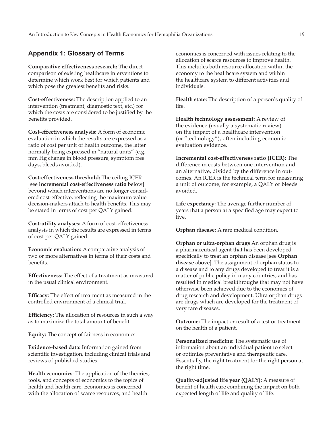## <span id="page-22-0"></span>**Appendix 1: Glossary of Terms**

**Comparative effectiveness research:** The direct comparison of existing healthcare interventions to determine which work best for which patients and which pose the greatest benefits and risks.

**Cost-effectiveness:** The description applied to an intervention (treatment, diagnostic text, etc.) for which the costs are considered to be justified by the benefits provided.

**Cost-effectiveness analysis:** A form of economic evaluation in which the results are expressed as a ratio of cost per unit of health outcome, the latter normally being expressed in "natural units" (e.g. mm Hg change in blood pressure, symptom free days, bleeds avoided).

**Cost-effectiveness threshold:** The ceiling ICER [see **incremental cost-effectiveness ratio** below] beyond which interventions are no longer considered cost-effective, reflecting the maximum value decision-makers attach to health benefits. This may be stated in terms of cost per QALY gained.

**Cost-utility analyses:** A form of cost-effectiveness analysis in which the results are expressed in terms of cost per QALY gained.

**Economic evaluation:** A comparative analysis of two or more alternatives in terms of their costs and benefits.

**Effectiveness:** The effect of a treatment as measured in the usual clinical environment.

**Efficacy:** The effect of treatment as measured in the controlled environment of a clinical trial.

**Efficiency:** The allocation of resources in such a way as to maximize the total amount of benefit.

**Equity:** The concept of fairness in economics.

**Evidence-based data:** Information gained from scientific investigation, including clinical trials and reviews of published studies.

**Health economics**: The application of the theories, tools, and concepts of economics to the topics of health and health care. Economics is concerned with the allocation of scarce resources, and health

economics is concerned with issues relating to the allocation of scarce resources to improve health. This includes both resource allocation within the economy to the healthcare system and within the healthcare system to different activities and individuals.

**Health state:** The description of a person's quality of life.

**Health technology assessment:** A review of the evidence (usually a systematic review) on the impact of a healthcare intervention (or "technology"), often including economic evaluation evidence.

**Incremental cost-effectiveness ratio (ICER):** The difference in costs between one intervention and an alternative, divided by the difference in outcomes. An ICER is the technical term for measuring a unit of outcome, for example, a QALY or bleeds avoided.

**Life expectancy:** The average further number of years that a person at a specified age may expect to live.

**Orphan disease:** A rare medical condition.

**Orphan or ultra-orphan drugs** An orphan drug is a [pharmaceutical agent t](http://en.wikipedia.org/wiki/Medication)hat has been developed specifically to treat an orphan disease [see **Orphan disease** above]. The assignment of orphan status to a disease and to any drugs developed to treat it is a matter of [public policy i](http://en.wikipedia.org/wiki/Public_policy_(law))n many countries, and has resulted in medical breakthroughs that may not have otherwise been achieved due to the economics of drug [research and development.](http://en.wikipedia.org/wiki/Medical_research) Ultra orphan drugs are drugs which are developed for the treatment of very rare diseases.

**Outcome:** The impact or result of a test or treatment on the health of a patient.

**Personalized medicine:** The systematic use of information about an individual patient to select or optimize preventative and therapeutic care. Essentially, the right treatment for the right person at the right time.

**Quality-adjusted life year (QALY):** A measure of benefit of health care combining the impact on both expected length of life and quality of life.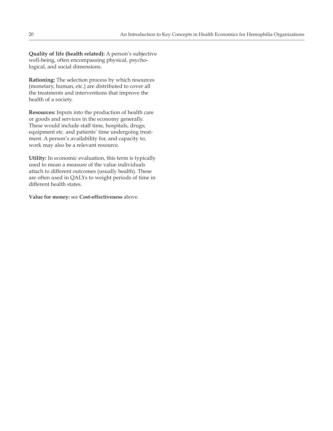**Quality of life (health related):** A person's subjective well-being, often encompassing physical, psychological, and social dimensions.

**Rationing:** The selection process by which resources (monetary, human, etc.) are distributed to cover all the treatments and interventions that improve the health of a society.

**Resources:** Inputs into the production of health care or goods and services in the economy generally. These would include staff time, hospitals, drugs; equipment etc. and patients' time undergoing treatment. A person's availability for, and capacity to, work may also be a relevant resource.

**Utility:** In economic evaluation, this term is typically used to mean a measure of the value individuals attach to different outcomes (usually health). These are often used in QALYs to weight periods of time in different health states.

**Value for money:** see **Cost-effectiveness** above.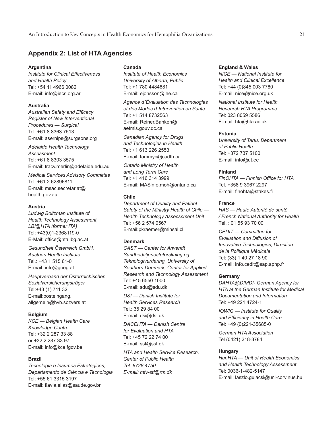## <span id="page-24-0"></span>**Appendix 2: List of HTA Agencies**

#### **Argentina**

*Institute for Clinical Effectiveness and Health Policy* Tel: +54 11 4966 0082 E-mail: i[nfo@iecs.org.ar](mailto:info@iecs.org.ar)

#### **Australia**

*Australian Safety and Efficacy Register of New Interventional Procedures — Surgical* Tel: +61 8 8363 7513 E-mail: a[sernips@surgeons.org](mailto:asernips@surgeons.org)

*Adelaide Health Technology Assessment* Tel: +61 8 8303 3575 E-mail: [tracy.merlin@adelaide.edu.au](mailto:tracy.merlin@adelaide.edu.au)

*Medical Services Advisory Committee* Tel: +61 2 62896811 E-mail: m[sac.secretariat@](mailto:msac.secretariat@health.gov.au) [health.gov.au](mailto:msac.secretariat@health.gov.au)

#### **Austria**

*Ludwig Boltzman Institute of Health Technology Assessment, LBI@HTA (former ITA)* Tel: +43(0)1-2368119-0 E-Mail: o[ffice@hta.lbg.ac.at](mailto:office@hta.lbg.ac.at)

*Gesundheit Österreich GmbH, Austrian Health Institute* Tel.: +43 1 515 61-0 E-mail: i[nfo@goeg.at](mailto:info@goeg.at)

*Hauptverband der Österreichischen Sozialversicherungsträger* Tel:+43 (1) 711 32 E-mail:posteingang. allgemein@hvb.sozvers.at

#### **Belgium**

*KCE — Belgian Health Care Knowledge Centre* Tel: +32 2 287 33 88 or +32 2 287 33 97 E-mail: info@kce.fgov.be

#### **Brazil**

*Tecnologia e Insumos Estratégicos, Departamento de Ciência e Tecnologia* Tel: +55 61 3315 3197 E-mail: [flavia.elias@saude.gov.br](mailto:flavia.elias@saude.gov.br)

#### **Canada**

*Institute of Health Economics University of Alberta, Public* Tel: +1 780 4484881 E-mail: ejonsson@ihe.ca

*Agence d´Évaluation des Technologies et des Modes d´Intervention en Santé* Tel: +1 514 8732563 E-mail: Reiner.Banken@ aetmis.gouv.qc.ca

*Canadian Agency for Drugs and Technologies in Health* Tel: +1 613 226 2553 E-mail: t[ammyc@cadth.ca](mailto:tammyc@cadth.ca)

*Ontario Ministry of Health and Long Term Care* Tel: +1 416 314 3999 E-mail: M[ASinfo.moh@ontario.ca](mailto:MASinfo.moh@ontario.ca)

#### **Chile**

*Department of Quality and Patient Safety of the Ministry Health of Chile — Health Technology Assesssment Unit* Tel: +56 2 574 0567 E-mail:p[kraemer@minsal.cl](mailto:pkraemer@minsal.cl)

#### **Denmark**

*CAST — Center for Anvendt Sundhedstjenesteforskning og Teknologivurdering, University of Southern Denmark, Center for Applied Research and Technology Assessment* Tel: +45 6550 1000 E-mail: s[du@sdu.dk](mailto:sdu@sdu.dk)

*DSI — Danish Institute for Health Services Research* Tel.: 35 29 84 00 E-mail: d[si@dsi.dk](mailto:dsi@dsi.dk)

*DACEHTA — Danish Centre for Evaluation and HTA* Tel: +45 72 22 74 00 E-mail: s[st@sst.dk](mailto:sst@sst.dk)

*HTA and Health Service Research, Center of Public Health Tel: 8728 4750 E-mail: m[tv-stf@rm.dk](mailto:mtv-stf@rm.dk)*

#### **England & Wales**

*NICE — National Institute for Health and Clinical Excellence* Tel: +44 (0)845 003 7780 E-mail: n[ice@nice.org.uk](mailto:nice@nice.org.uk)

*National Institute for Health Research HTA Programme* Tel: 023 8059 5586 E-mail: h[ta@hta.ac.uk](mailto:hta@hta.ac.uk)

#### **Estonia**

*University of Tartu, Department of Public Health* Tel: +372 737 5100 E-mail: i[nfo@ut.ee](mailto:info@ut.ee)

#### **Finland**

*FinOHTA — Finnish Office for HTA* Tel. +358 9 3967 2297 E-mail: [finohta@stakes.fi](mailto:finohta@stakes.fi)

#### **France**

*HAS — Haute Autorité de santé / French National Authority for Health* Tél. : 01 55 93 70 00

*CEDIT — Committee for Evaluation and Diffusion of Innovative Technologies, Direction de la Politique Médicale* Tel: (33) 1 40 27 18 90 E-mail: i[nfo.cedit@sap.aphp.fr](mailto:info.cedit@sap.aphp.fr)

#### **Germany**

*DAHTA@DIMDI- German Agency for HTA at the German Institute for Medical Documentation and Information* Tel: +49 221 4724-1

*IQWIG — Institute for Quality and Efficiency in Health Care* Tel: +49 (0)221-35685-0

*German HTA Association* Tel (0421) 218-3784

#### **Hungary**

*HunHTA — Unit of Health Economics and Health Technology Assessment* Tel: 0036-1-482-5147 E-mail: l[aszlo.gulacsi@uni-corvinus.hu](mailto:laszlo.gulacsi@uni-corvinus.hu)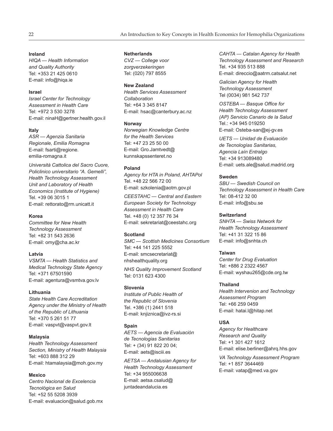### **Ireland**

*HIQA — Health Information and Quality Authority* Tel: +353 21 425 0610 E-mail: i[nfo@hiqa.ie](mailto:info@hiqa.ie)

#### **Israel**

*Israel Center for Technology Assessment in Health Care* Tel: +972 3 530 3278 E-mail: n[inaH@gertner.health.gov.il](mailto:ninaH@gertner.health.gov.il)

#### **Italy**

*ASR — Agenzia Sanitaria Regionale, Emilia Romagna* E-mail: [fsarti@regione.](mailto:fsarti@regione.emilia-romagna.it) [emilia-romagna.it](mailto:fsarti@regione.emilia-romagna.it)

*Università Cattolica del Sacro Cuore, Policlinico universitario "A. Gemelli", Health Technology Assessment Unit and Laboratory of Health Economics (Institute of Hygiene)* Tel. +39 06 3015 1 E-mail: [rettorato@rm.unicatt.it](mailto:rettorato@rm.unicatt.it)

#### **Korea**

*Committee for New Health Technology Assessment* Tel: +82 31 543 2636 E-mail: o[my@cha.ac.kr](mailto:omy@cha.ac.kr)

#### **Latvia**

*VSMTA — Health Statistics and Medical Technology State Agency* Tel: +371 67501590 E-mail: a[gentura@vsmtva.gov.lv](mailto:agentura@vsmtva.gov.lv)

#### **Lithuania**

*State Health Care Accreditation Agency under the Ministry of Health of the Republic of Lithuania* Tel: +370 5 261 51 77 E-mail: [vaspvt@vaspvt.gov.lt](mailto:vaspvt@vaspvt.gov.lt)

#### **Malaysia**

*Health Technology Assessment Section, Ministry of Health Malaysia* Tel: +603 888 312 29 E-mail: h[tamalaysia@moh.gov.my](mailto:htamalaysia@moh.gov.my)

#### **Mexico**

*Centro Nacional de Excelencia Tecnológica en Salud* Tel: +52 55 5208 3939 E-mail: e[valuacion@salud.gob.mx](mailto:evaluacion@salud.gob.mx)

#### **Netherlands**

*CVZ — College voor zorgverzekeringen* Tel: (020) 797 8555

#### **New Zealand**

*Health Services Assessment Collaboration* Tel: +64 3 345 8147 E-mail: h[sac@canterbury.ac.nz](mailto:hsac@canterbury.ac.nz ) 

#### **Norway**

*Norwegian Knowledge Centre for the Health Services* Tel: +47 23 25 50 00 E-mail: G[ro.Jamtvedt@](mailto:Gro.Jamtvedt@kunnskapssenteret.no) [kunnskapssenteret.no](mailto:Gro.Jamtvedt@kunnskapssenteret.no)

#### **Poland**

*Agency for HTA in Poland, AHTAPol* Tel. +48 22 566 72 00 E-mail: [szkolenia@aotm.gov.pl](mailto:szkolenia@aotm.gov.pl)

*CEESTAHC — Central and Eastern European Society for Technology Assessment in Health Care* Tel. +48 (0) 12 357 76 34 E-mail: [sekretariat@ceestahc.org](mailto:sekretariat@ceestahc.org)

#### **Scotland**

*SMC — Scottish Medicines Consortium* Tel: +44 141 225 5552 E-mail: [smcsecretariat@](mailto:smcsecretariat@nhshealthquality.org) [nhshealthquality.org](mailto:smcsecretariat@nhshealthquality.org)

*NHS Quality Improvement Scotland* Tel: 0131 623 4300

#### **Slovenia**

*Institute of Public Health of the Republic of Slovenia* Tel. +386 (1) 2441 518 E-mail: [knjiznica@ivz-rs.si](mailto:knjiznica@ivz-rs.si)

#### **Spain**

*AETS — Agencia de Evaluación de Tecnologias Sanitarias* Tel: + (34) 91 822 20 04; E-mail: aets@isciii.es

*AETSA — Andalusian Agency for Health Technology Assessment* Tel: +34 955006638 E-mail: a[etsa.csalud@](mailto:aetsa.csalud@juntadeandalucia.es) [juntadeandalucia.es](mailto:aetsa.csalud@juntadeandalucia.es)

*CAHTA — Catalan Agency for Health Technology Assessment and Research* Tel. +34 935 513 888 E-mail: d[ireccio@aatrm.catsalut.net](mailto:direccio@aatrm.catsalut.net)

*Galician Agency for Health Technology Assessment* Tel (0034) 981 542 737

*OSTEBA — Basque Office for Health Technology Assessment (AP) Servicio Canario de la Salud* Tel.: +34 945 019250 E-mail: O[steba-san@ej-gv.es](mailto:Osteba-san@ej-gv.es)

*UETS — Unidad de Evaluación de Tecnologías Sanitarias, Agencia Laín Entralgo* Tel: +34 913089480 E-mail: u[ets.ale@salud.madrid.org](mailto:uets.ale@salud.madrid.org)

#### **Sweden**

*SBU — Swedish Council on Technology Assessment in Health Care* Tel: 08-412 32 00 E-mail: i[nfo@sbu.se](mailto:info@sbu.se)

#### **Switzerland**

*SNHTA — Swiss Network for Health Technology Assessment* Tel: +41 31 322 15 86 E-mail: i[nfo@snhta.ch](mailto:info@snhta.ch)

#### **Taiwan**

*Center for Drug Evaluation* Tel: +886 2 2322 4567 E-mail: w[yshau265@cde.org.tw](mailto:wyshau265@cde.org.tw)

#### **Thailand**

*Health Intervenion and Technology Assessment Program* Tel: +66 259 0459 E-mail: h[atai.l@hitap.net](mailto:hatai.l@hitap.net)

#### **USA**

*Agency for Healthcare Research and Quality* Tel: +1 301 427 1612 E-mail: e[lise.berliner@ahrq.hhs.gov](mailto:elise.berliner@ahrq.hhs.gov)

*VA Technology Assessment Program* Tel: +1 857 3644469 E-mail: vatap@med.va.gov